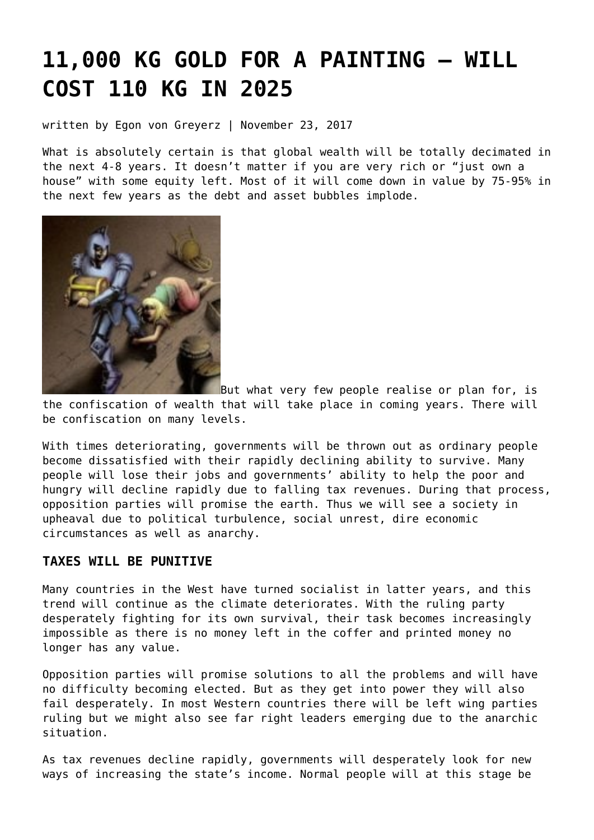# **[11,000 KG GOLD FOR A PAINTING – WILL](https://goldswitzerland.com/11000-kg-gold-for-a-painting-will-cost-110-kg-in-2025/) [COST 110 KG IN 2025](https://goldswitzerland.com/11000-kg-gold-for-a-painting-will-cost-110-kg-in-2025/)**

written by Egon von Greyerz | November 23, 2017

What is absolutely certain is that global wealth will be totally decimated in the next 4-8 years. It doesn't matter if you are very rich or "just own a house" with some equity left. Most of it will come down in value by 75-95% in the next few years as the debt and asset bubbles implode.



But what very few people realise or plan for, is

the confiscation of wealth that will take place in coming years. There will be confiscation on many levels.

With times deteriorating, governments will be thrown out as ordinary people become dissatisfied with their rapidly declining ability to survive. Many people will lose their jobs and governments' ability to help the poor and hungry will decline rapidly due to falling tax revenues. During that process, opposition parties will promise the earth. Thus we will see a society in upheaval due to political turbulence, social unrest, dire economic circumstances as well as anarchy.

## **TAXES WILL BE PUNITIVE**

Many countries in the West have turned socialist in latter years, and this trend will continue as the climate deteriorates. With the ruling party desperately fighting for its own survival, their task becomes increasingly impossible as there is no money left in the coffer and printed money no longer has any value.

Opposition parties will promise solutions to all the problems and will have no difficulty becoming elected. But as they get into power they will also fail desperately. In most Western countries there will be left wing parties ruling but we might also see far right leaders emerging due to the anarchic situation.

As tax revenues decline rapidly, governments will desperately look for new ways of increasing the state's income. Normal people will at this stage be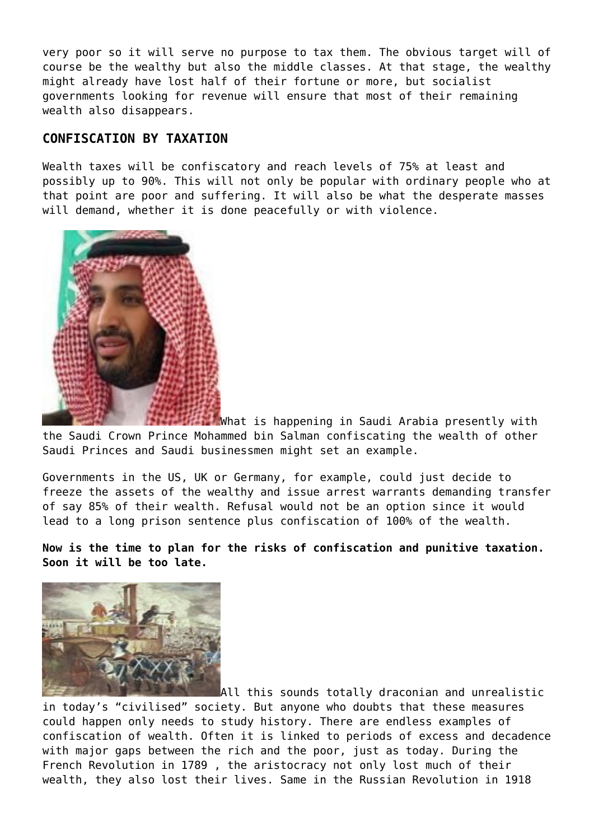very poor so it will serve no purpose to tax them. The obvious target will of course be the wealthy but also the middle classes. At that stage, the wealthy might already have lost half of their fortune or more, but socialist governments looking for revenue will ensure that most of their remaining wealth also disappears.

## **CONFISCATION BY TAXATION**

Wealth taxes will be confiscatory and reach levels of 75% at least and possibly up to 90%. This will not only be popular with ordinary people who at that point are poor and suffering. It will also be what the desperate masses will demand, whether it is done peacefully or with violence.



What is happening in Saudi Arabia presently with the Saudi Crown Prince Mohammed bin Salman confiscating the wealth of other Saudi Princes and Saudi businessmen might set an example.

Governments in the US, UK or Germany, for example, could just decide to freeze the assets of the wealthy and issue arrest warrants demanding transfer of say 85% of their wealth. Refusal would not be an option since it would lead to a long prison sentence plus confiscation of 100% of the wealth.

**Now is the time to plan for the risks of confiscation and punitive taxation. Soon it will be too late.**



All this sounds totally draconian and unrealistic in today's "civilised" society. But anyone who doubts that these measures could happen only needs to study history. There are endless examples of confiscation of wealth. Often it is linked to periods of excess and decadence with major gaps between the rich and the poor, just as today. During the French Revolution in 1789 , the aristocracy not only lost much of their wealth, they also lost their lives. Same in the Russian Revolution in 1918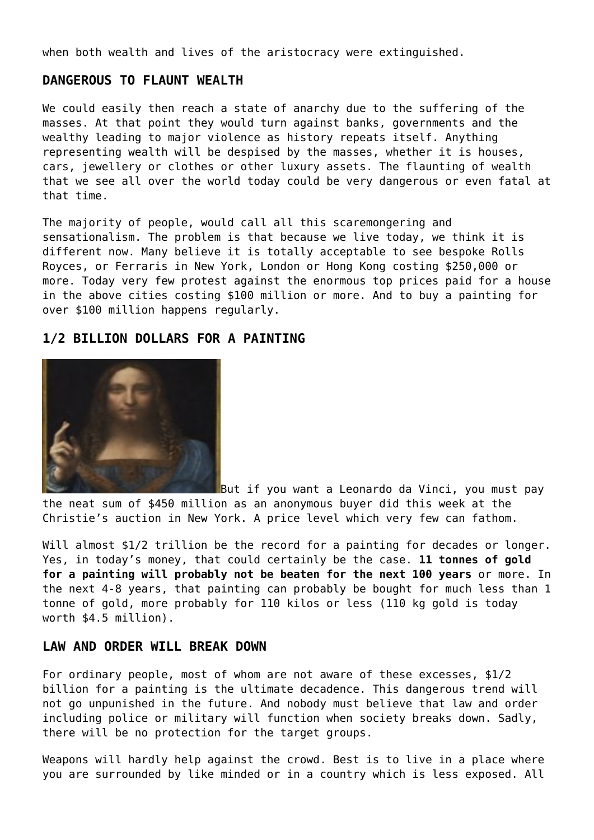when both wealth and lives of the aristocracy were extinguished.

### **DANGEROUS TO FLAUNT WEALTH**

We could easily then reach a state of anarchy due to the suffering of the masses. At that point they would turn against banks, governments and the wealthy leading to major violence as history repeats itself. Anything representing wealth will be despised by the masses, whether it is houses, cars, jewellery or clothes or other luxury assets. The flaunting of wealth that we see all over the world today could be very dangerous or even fatal at that time.

The majority of people, would call all this scaremongering and sensationalism. The problem is that because we live today, we think it is different now. Many believe it is totally acceptable to see bespoke Rolls Royces, or Ferraris in New York, London or Hong Kong costing \$250,000 or more. Today very few protest against the enormous top prices paid for a house in the above cities costing \$100 million or more. And to buy a painting for over \$100 million happens regularly.

#### **1/2 BILLION DOLLARS FOR A PAINTING**



But if you want a Leonardo da Vinci, you must pay the neat sum of \$450 million as an anonymous buyer did this week at the Christie's auction in New York. A price level which very few can fathom.

Will almost \$1/2 trillion be the record for a painting for decades or longer. Yes, in today's money, that could certainly be the case. **11 tonnes of gold for a painting will probably not be beaten for the next 100 years** or more. In the next 4-8 years, that painting can probably be bought for much less than 1 tonne of gold, more probably for 110 kilos or less (110 kg gold is today worth \$4.5 million).

#### **LAW AND ORDER WILL BREAK DOWN**

For ordinary people, most of whom are not aware of these excesses, \$1/2 billion for a painting is the ultimate decadence. This dangerous trend will not go unpunished in the future. And nobody must believe that law and order including police or military will function when society breaks down. Sadly, there will be no protection for the target groups.

Weapons will hardly help against the crowd. Best is to live in a place where you are surrounded by like minded or in a country which is less exposed. All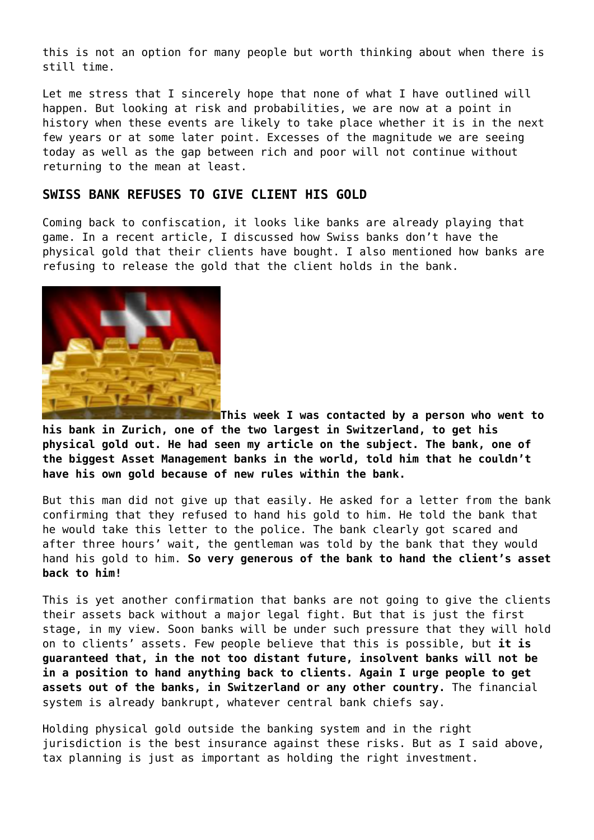this is not an option for many people but worth thinking about when there is still time.

Let me stress that I sincerely hope that none of what I have outlined will happen. But looking at risk and probabilities, we are now at a point in history when these events are likely to take place whether it is in the next few years or at some later point. Excesses of the magnitude we are seeing today as well as the gap between rich and poor will not continue without returning to the mean at least.

#### **SWISS BANK REFUSES TO GIVE CLIENT HIS GOLD**

Coming back to confiscation, it looks like banks are already playing that game. In a [recent article](https://goldswitzerland.com/dont-hold-your-gold-in-a-swiss-bank/), I discussed how Swiss banks don't have the physical gold that their clients have bought. I also mentioned how banks are refusing to release the gold that the client holds in the bank.



**This week I was contacted by a person who went to his bank in Zurich, one of the two largest in Switzerland, to get his physical gold out. He had seen my article on the subject. The bank, one of the biggest Asset Management banks in the world, told him that he couldn't have his own gold because of new rules within the bank.**

But this man did not give up that easily. He asked for a letter from the bank confirming that they refused to hand his gold to him. He told the bank that he would take this letter to the police. The bank clearly got scared and after three hours' wait, the gentleman was told by the bank that they would hand his gold to him. **So very generous of the bank to hand the client's asset back to him!**

This is yet another confirmation that banks are not going to give the clients their assets back without a major legal fight. But that is just the first stage, in my view. Soon banks will be under such pressure that they will hold on to clients' assets. Few people believe that this is possible, but **it is guaranteed that, in the not too distant future, insolvent banks will not be in a position to hand anything back to clients. Again I urge people to get assets out of the banks, in Switzerland or any other country.** The financial system is already bankrupt, whatever central bank chiefs say.

Holding physical gold outside the banking system and in the right jurisdiction is the best insurance against these risks. But as I said above, tax planning is just as important as holding the right investment.